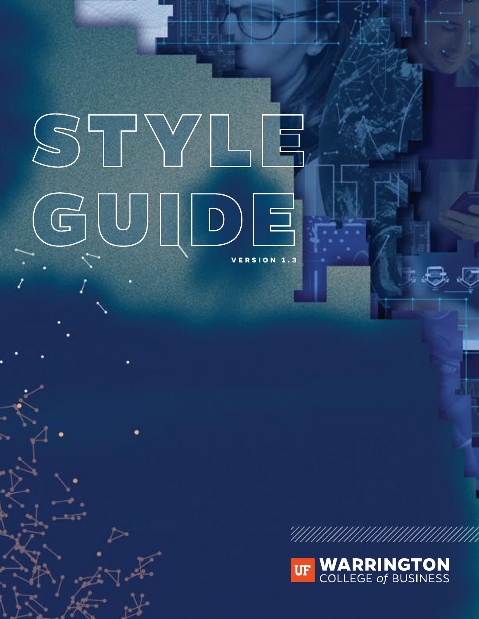# **VERSION 1.3** STYLE  $\begin{array}{|c|c|} \hline \textbf{G} & \textbf{U} & \textbf{D} & \textbf{E} \end{array}$



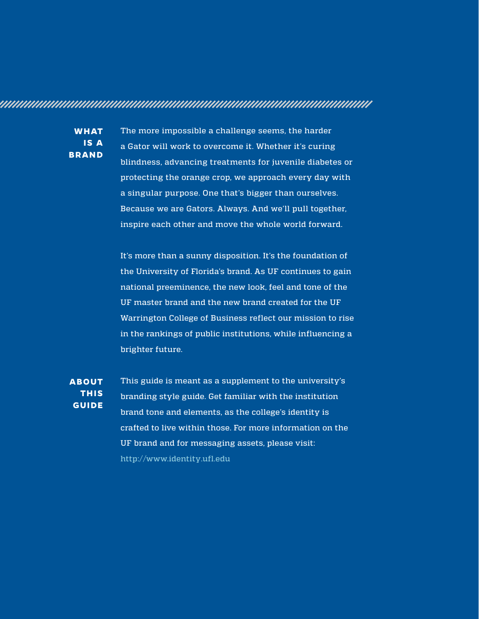**WHAT IS A BRAND**

The more impossible a challenge seems, the harder a Gator will work to overcome it. Whether it's curing blindness, advancing treatments for juvenile diabetes or protecting the orange crop, we approach every day with a singular purpose. One that's bigger than ourselves. Because we are Gators. Always. And we'll pull together, inspire each other and move the whole world forward.

It's more than a sunny disposition. It's the foundation of the University of Florida's brand. As UF continues to gain national preeminence, the new look, feel and tone of the UF master brand and the new brand created for the UF Warrington College of Business reflect our mission to rise in the rankings of public institutions, while influencing a brighter future.

This guide is meant as a supplement to the university's branding style guide. Get familiar with the institution brand tone and elements, as the college's identity is crafted to live within those. For more information on the UF brand and for messaging assets, please visit: http://www.identity.ufl.edu **ABOUT THIS GUIDE**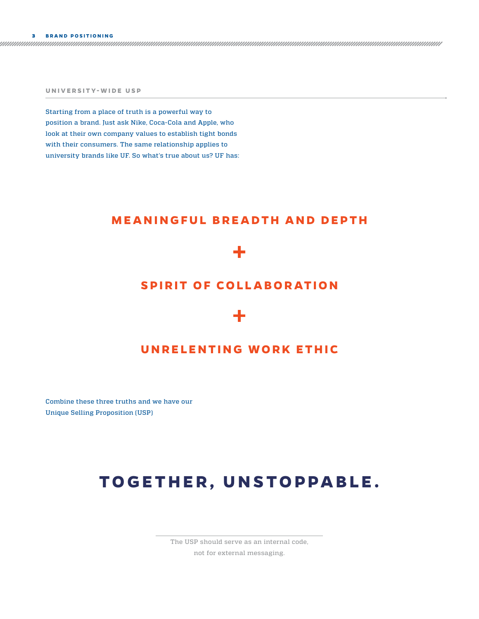#### **UNIVERSITY-WIDE USP**

Starting from a place of truth is a powerful way to position a brand. Just ask Nike, Coca-Cola and Apple, who look at their own company values to establish tight bonds with their consumers. The same relationship applies to university brands like UF. So what's true about us? UF has:

## **MEANINGFUL BREADTH AND DEPTH**

## **SPIRIT OF COLLABORATION**

## **UNRELENTING WORK ETHIC**

Combine these three truths and we have our Unique Selling Proposition (USP)

## **TOGETHER, UNSTOPPABLE.**

The USP should serve as an internal code, not for external messaging.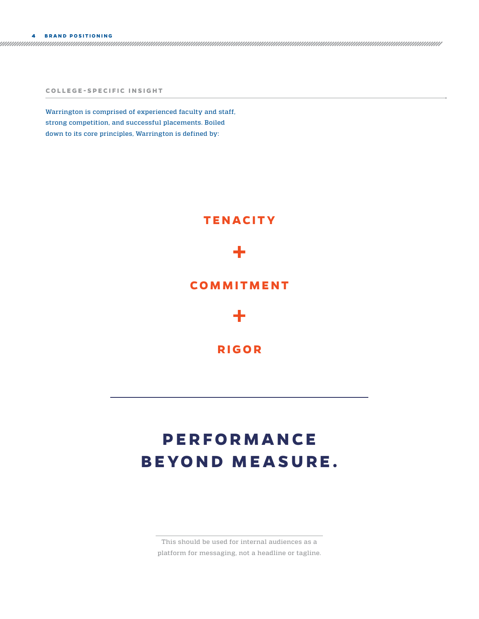**COLLEGE-SPECIFIC INSIGHT**

Warrington is comprised of experienced faculty and staff, strong competition, and successful placements. Boiled down to its core principles, Warrington is defined by:



## **P E R F O R M A N C E BEYOND MEASURE.**

This should be used for internal audiences as a platform for messaging, not a headline or tagline.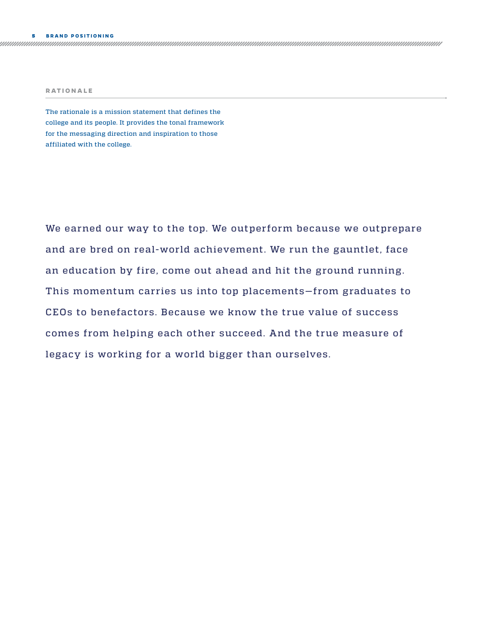#### **RATIONALE**

The rationale is a mission statement that defines the college and its people. It provides the tonal framework for the messaging direction and inspiration to those affiliated with the college.

We earned our way to the top. We outperform because we outprepare and are bred on real-world achievement. We run the gauntlet, face an education by fire, come out ahead and hit the ground running. This momentum carries us into top placements—from graduates to CEOs to benefactors. Because we know the true value of success comes from helping each other succeed. And the true measure of legacy is working for a world bigger than ourselves.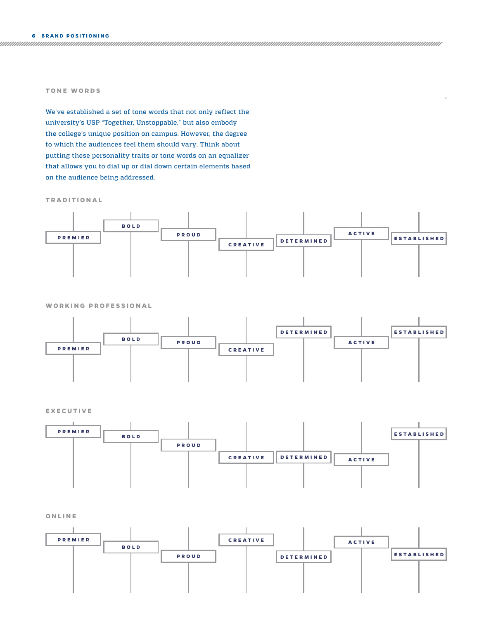#### 6 **BRAND POSITIONING**

#### **TONE WORDS**

We've established a set of tone words that not only reflect the university's USP "Together, Unstoppable," but also embody the college's unique position on campus. However, the degree to which the audiences feel them should vary. Think about putting these personality traits or tone words on an equalizer that allows you to dial up or dial down certain elements based on the audience being addressed.

#### **TRADITIONAL**



#### **WORKING PROFESSIONAL**



#### **EXECUTIVE**



**ONLINE**

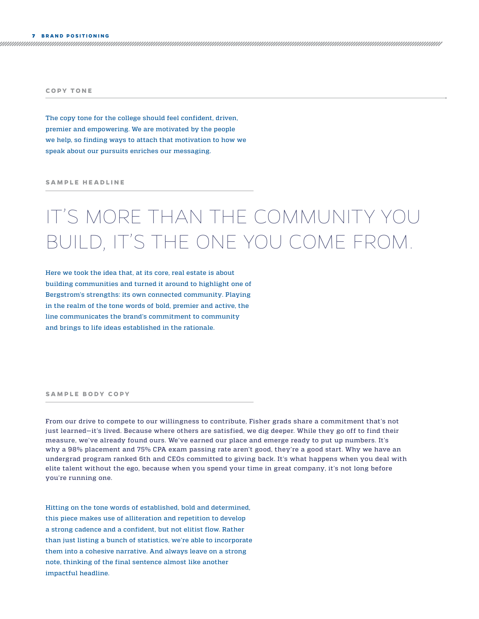#### **COPY TONE**

The copy tone for the college should feel confident, driven, premier and empowering. We are motivated by the people we help, so finding ways to attach that motivation to how we speak about our pursuits enriches our messaging.

#### **SAMPLE HEADLINE**

## IT'S MORE THAN THE COMMUNITY YOU BUILD, IT'S THE ONE YOU COME FROM.

Here we took the idea that, at its core, real estate is about building communities and turned it around to highlight one of Bergstrom's strengths: its own connected community. Playing in the realm of the tone words of bold, premier and active, the line communicates the brand's commitment to community and brings to life ideas established in the rationale.

#### **SAMPLE BODY COPY**

From our drive to compete to our willingness to contribute, Fisher grads share a commitment that's not just learned—it's lived. Because where others are satisfied, we dig deeper. While they go off to find their measure, we've already found ours. We've earned our place and emerge ready to put up numbers. It's why a 98% placement and 75% CPA exam passing rate aren't good, they're a good start. Why we have an undergrad program ranked 6th and CEOs committed to giving back. It's what happens when you deal with elite talent without the ego, because when you spend your time in great company, it's not long before you're running one.

Hitting on the tone words of established, bold and determined, this piece makes use of alliteration and repetition to develop a strong cadence and a confident, but not elitist flow. Rather than just listing a bunch of statistics, we're able to incorporate them into a cohesive narrative. And always leave on a strong note, thinking of the final sentence almost like another impactful headline.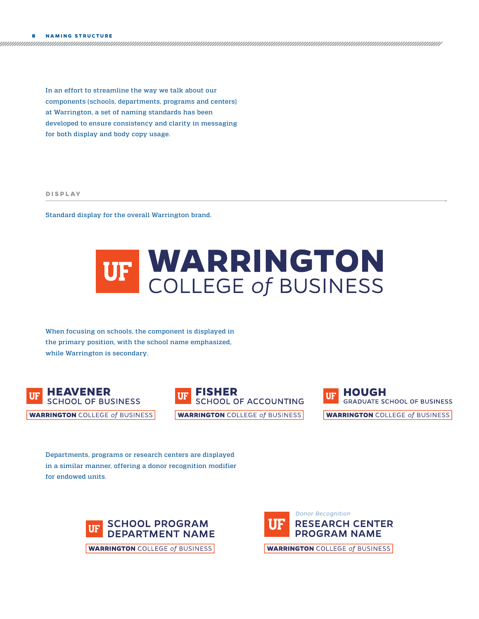In an effort to streamline the way we talk about our components (schools, departments, programs and centers) at Warrington, a set of naming standards has been developed to ensure consistency and clarity in messaging for both display and body copy usage.

**D I S P L AY**

Standard display for the overall Warrington brand.



When focusing on schools, the component is displayed in the primary position, with the school name emphasized, while Warrington is secondary.







Departments, programs or research centers are displayed in a similar manner, offering a donor recognition modifier for endowed units.



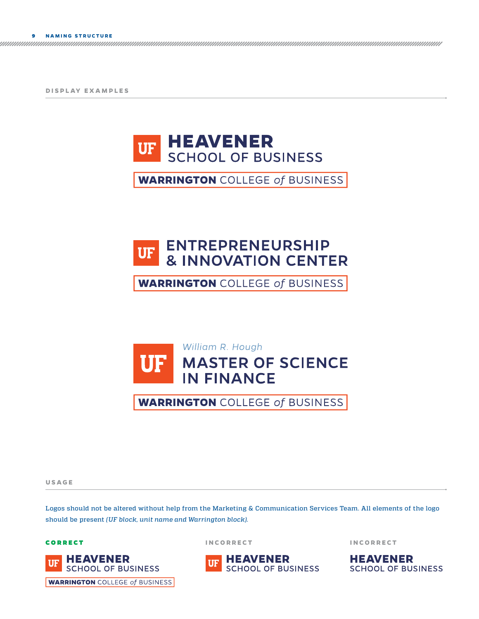**D I S P L AY E X A M P L E S**



**WARRINGTON** COLLEGE of BUSINESS

#### **ENTREPRENEURSHIP UF & INNOVATION CENTER**

**WARRINGTON** COLLEGE of BUSINESS



**WARRINGTON** COLLEGE of BUSINESS

**USAGE**

Logos should not be altered without help from the Marketing & Communication Services Team. All elements of the logo should be present *(UF block, unit name and Warrington block)*.





CORRECT **INCORRECT INCORRECT**

**HEAVENER SCHOOL OF BUSINESS**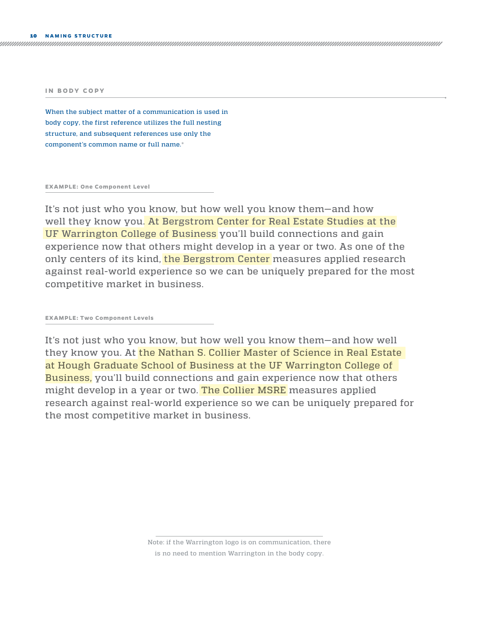**IN BODY COPY**

When the subject matter of a communication is used in body copy, the first reference utilizes the full nesting structure, and subsequent references use only the component's common name or full name.\*

**EXAMPLE: One Component Level**

It's not just who you know, but how well you know them—and how well they know you. At Bergstrom Center for Real Estate Studies at the UF Warrington College of Business you'll build connections and gain experience now that others might develop in a year or two. As one of the only centers of its kind, the Bergstrom Center measures applied research against real-world experience so we can be uniquely prepared for the most competitive market in business.

**EXAMPLE: Two Component Levels**

It's not just who you know, but how well you know them—and how well they know you. At the Nathan S. Collier Master of Science in Real Estate at Hough Graduate School of Business at the UF Warrington College of Business, you'll build connections and gain experience now that others might develop in a year or two. The Collier MSRE measures applied research against real-world experience so we can be uniquely prepared for the most competitive market in business.

> Note: if the Warrington logo is on communication, there is no need to mention Warrington in the body copy.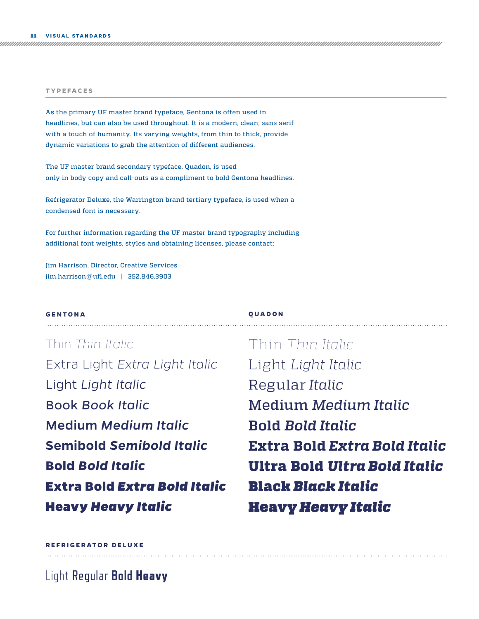#### **TYPEFACES**

As the primary UF master brand typeface, Gentona is often used in headlines, but can also be used throughout. It is a modern, clean, sans serif with a touch of humanity. Its varying weights, from thin to thick, provide dynamic variations to grab the attention of different audiences.

The UF master brand secondary typeface, Quadon, is used only in body copy and call-outs as a compliment to bold Gentona headlines.

Refrigerator Deluxe, the Warrington brand tertiary typeface, is used when a condensed font is necessary.

For further information regarding the UF master brand typography including additional font weights, styles and obtaining licenses, please contact:

Jim Harrison, Director, Creative Services jim.harrison@ufl.edu | 352.846.3903

#### **GENTONA**

#### **QUADON**

Thin *Thin Italic* Extra Light *Extra Light Italic* Light *Light Italic* Book *Book Italic* Medium *Medium Italic* **Semibold** *Semibold Italic*  **Bold** *Bold Italic* **Extra Bold** *Extra Bold Italic* Heavy *Heavy Italic*

Thin *Thin Italic* Light *Light Italic* Regular *Italic* Medium *Medium Italic* **Bold** *Bold Italic* **Extra Bold** *Extra Bold Italic* **Ultra Bold** *Ultra Bold Italic* Black *Black Italic* Heavy *Heavy Italic*

#### **REFRIGERATOR DELUXE**

Light Regular **Bold** Heavy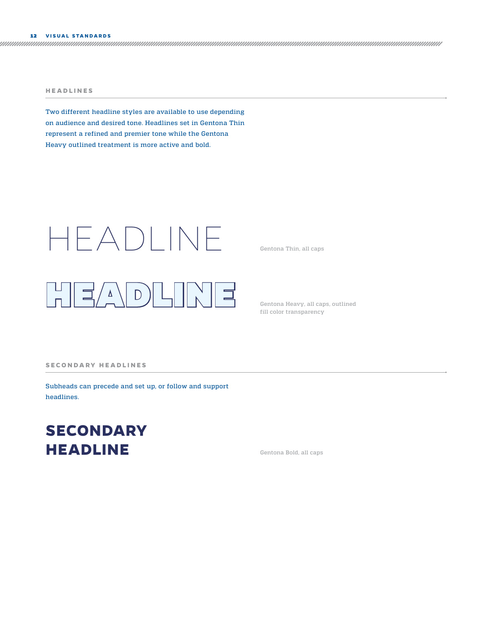#### 12 **VISUAL STANDARDS**

#### **HEADLINES**

Two different headline styles are available to use depending on audience and desired tone. Headlines set in Gentona Thin represent a refined and premier tone while the Gentona Heavy outlined treatment is more active and bold.

## HEADLINE



Gentona Thin, all caps

Gentona Heavy, all caps, outlined fill color transparency

#### **SECONDARY HEADLINES**

Subheads can precede and set up, or follow and support headlines.

## **SECONDARY HEADLINE**

Gentona Bold, all caps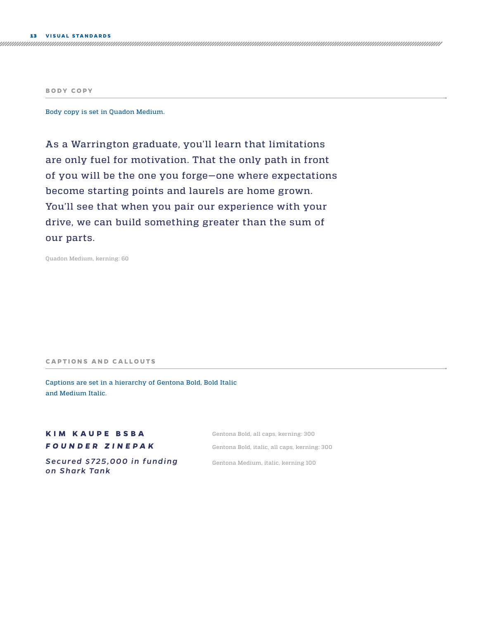**BODY COPY**

Body copy is set in Quadon Medium.

As a Warrington graduate, you'll learn that limitations are only fuel for motivation. That the only path in front of you will be the one you forge—one where expectations become starting points and laurels are home grown. You'll see that when you pair our experience with your drive, we can build something greater than the sum of our parts.

Quadon Medium, kerning: 60

#### **CAPTIONS AND CALLOUTS**

Captions are set in a hierarchy of Gentona Bold, Bold Italic and Medium Italic.

#### **KIM KAUPE BSBA** *FOUNDER ZINEPAK*

Gentona Bold, all caps, kerning: 300 Gentona Bold, italic, all caps, kerning: 300 Gentona Medium, italic, kerning 100

*Sec u red \$ 7 2 5 ,0 0 0 i n f u n d i n g o n S h a rk Ta n k*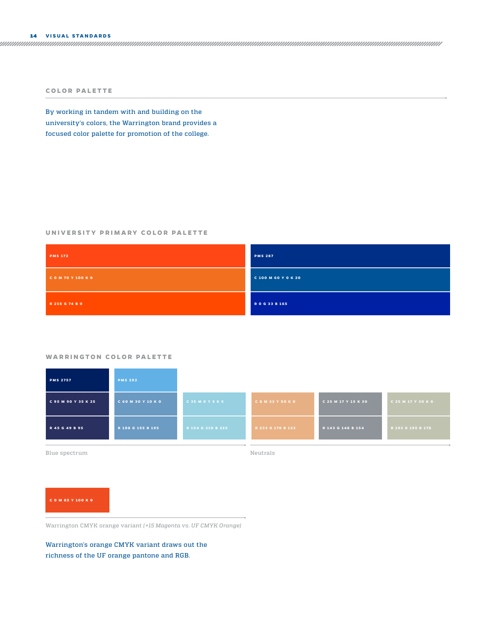#### 14 **VISUAL STANDARDS**

#### **COLOR PALETTE**

By working in tandem with and building on the university's colors, the Warrington brand provides a focused color palette for promotion of the college.

#### **UNIVERSITY PRIMARY COLOR PALETTE**

| <b>PMS 172</b>     | <b>PMS 287</b>      |
|--------------------|---------------------|
| <b>COM70Y100KO</b> | C 100 M 60 Y 0 K 20 |
| R 255 G 74 B 0     | R 0 G 33 B 165      |

#### **WARRINGTON COLOR PALETTE**

| <b>PMS 2757</b>     | <b>PMS 292</b>            |                   |                          |                     |                    |
|---------------------|---------------------------|-------------------|--------------------------|---------------------|--------------------|
| C 95 M 90 Y 35 K 25 | <b>C 60 M 30 Y 10 K 0</b> | C 35 M O Y 5 K 5  | <b>C 8 M 33 Y 50 K O</b> | C 25 M 17 Y 15 K 30 | C 25 M 17 Y 30 K 0 |
| R 45 G 49 B 95      | R 108 G 155 B 195         | R 154 G 210 B 225 | R 233 G 178 B 132        | R 143 G 148 B 154   | R 193 G 195 B 178  |
|                     |                           |                   |                          |                     |                    |

Blue spectrum and the state of the state of the state of the Neutrals Neutrals

#### **C 0 M 85 Y 100 K 0**

Warrington CMYK orange variant *(+15 Magenta vs. UF CMYK Orange)*

Warrington's orange CMYK variant draws out the richness of the UF orange pantone and RGB.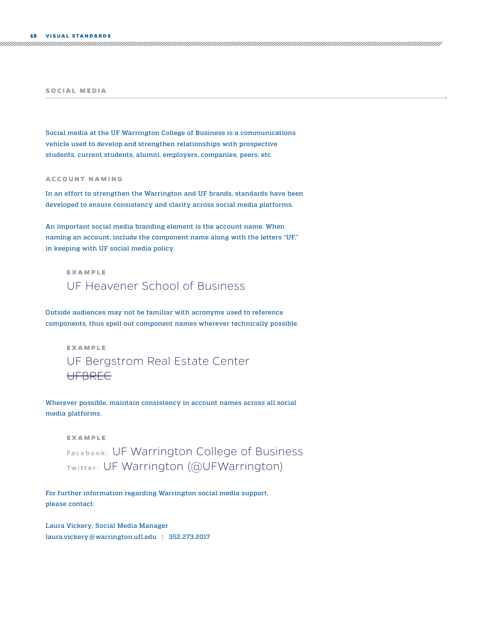#### **SOCIAL MEDIA**

Social media at the UF Warrington College of Business is a communications vehicle used to develop and strengthen relationships with prospective students, current students, alumni, employers, companies, peers, etc.

#### **ACCOUNT NAMING**

In an effort to strengthen the Warrington and UF brands, standards have been developed to ensure consistency and clarity across social media platforms.

An important social media branding element is the account name. When naming an account, include the component name along with the letters "UF," in keeping with UF social media policy.

## **EXAMPLE** UF Heavener School of Business

Outside audiences may not be familiar with acronyms used to reference components, thus spell out component names wherever technically possible.

## **EXAMPLE** UF Bergstrom Real Estate Center **UFBREC**

Wherever possible, maintain consistency in account names across all social media platforms.

## **EXAMPLE** Facebook: UF Warrington College of Business Twitter: UF Warrington (@UFWarrington)

For further information regarding Warrington social media support, please contact:

Laura Vickery, Social Media Manager laura.vickery@warrington.ufl.edu | 352.273.2017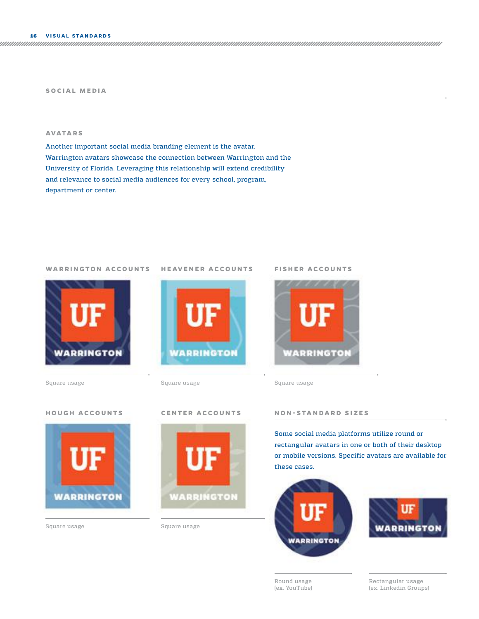#### **SOCIAL MEDIA**

#### **AVATA R S**

Another important social media branding element is the avatar. Warrington avatars showcase the connection between Warrington and the University of Florida. Leveraging this relationship will extend credibility and relevance to social media audiences for every school, program, department or center.



Square usage Square usage Square usage Square usage Square usage Square usage Square usage Square usage Square usage Square usage Square usage Square usage Square usage Square usage Square usage Square usage Square usage S

#### **HOUGH ACCOUNTS CENTER ACCOUNTS**





#### **WARRINGTON ACCOUNTS** HEAVENER ACCOUNTS FISHER ACCOUNTS





Square usage Square usage

#### **NON-STANDARD SIZES**

Some social media platforms utilize round or rectangular avatars in one or both of their desktop or mobile versions. Specific avatars are available for these cases.





Round usage (ex. YouTube) Rectangular usage (ex. Linkedin Groups)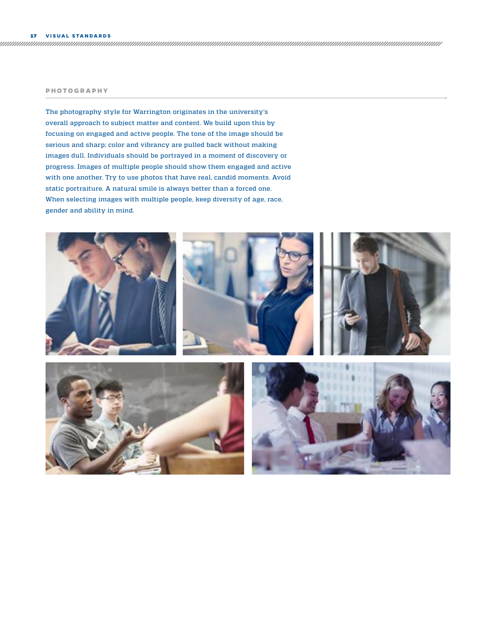#### **PHOTOGRAPHY**

The photography style for Warrington originates in the university's overall approach to subject matter and content. We build upon this by focusing on engaged and active people. The tone of the image should be serious and sharp; color and vibrancy are pulled back without making images dull. Individuals should be portrayed in a moment of discovery or progress. Images of multiple people should show them engaged and active with one another. Try to use photos that have real, candid moments. Avoid static portraiture. A natural smile is always better than a forced one. When selecting images with multiple people, keep diversity of age, race, gender and ability in mind.

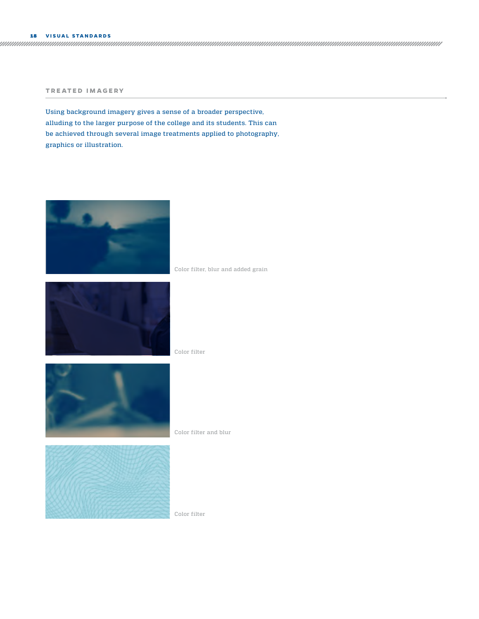#### 18 **VISUAL STANDARDS**

#### **TREATED IMAGERY**

Using background imagery gives a sense of a broader perspective, alluding to the larger purpose of the college and its students. This can be achieved through several image treatments applied to photography, graphics or illustration.



Color filter

Color filter, blur and added grain





Color filter and blur

Color filter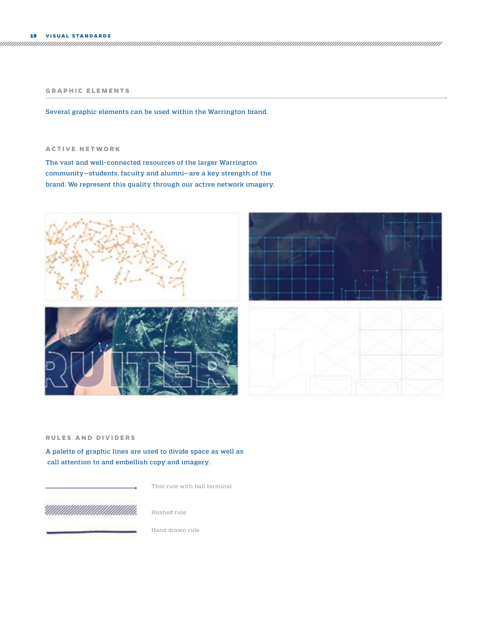#### **GRAPHIC ELEMENTS**

Several graphic elements can be used within the Warrington brand.

#### **ACTIVE NETWORK**

The vast and well–connected resources of the larger Warrington community—students, faculty and alumni—are a key strength of the brand. We represent this quality through our active network imagery.









#### **RULES AND DIVIDERS**

A palette of graphic lines are used to divide space as well as call attention to and embellish copy and imagery.



Thin rule with ball terminal

Hashed rule

Hand drawn rule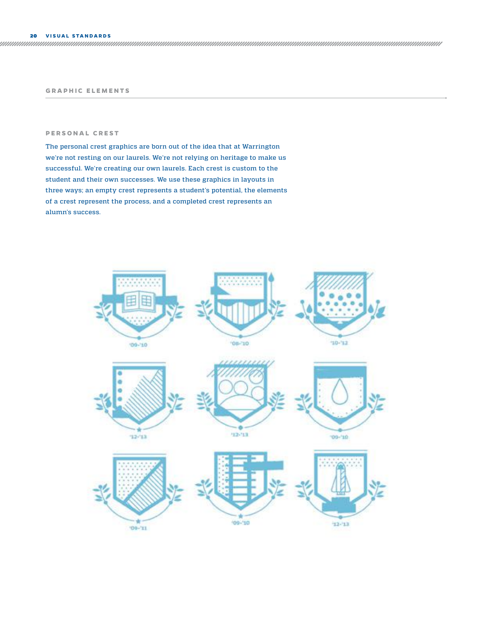#### **GRAPHIC ELEMENTS**

#### **PERSONAL CREST**

The personal crest graphics are born out of the idea that at Warrington we're not resting on our laurels. We're not relying on heritage to make us successful. We're creating our own laurels. Each crest is custom to the student and their own successes. We use these graphics in layouts in three ways; an empty crest represents a student's potential, the elements of a crest represent the process, and a completed crest represents an alumn's success.

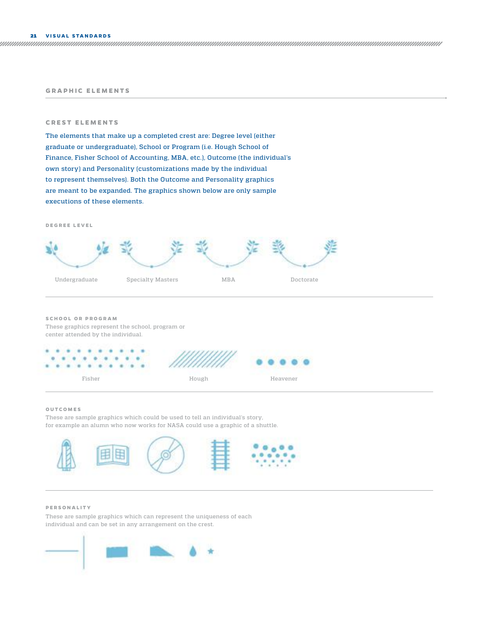#### **GRAPHIC ELEMENTS**

#### **CREST ELEMENTS**

The elements that make up a completed crest are: Degree level (either graduate or undergraduate), School or Program (i.e. Hough School of Finance, Fisher School of Accounting, MBA, etc.), Outcome (the individual's own story) and Personality (customizations made by the individual to represent themselves). Both the Outcome and Personality graphics are meant to be expanded. The graphics shown below are only sample executions of these elements.

**DEGREE LEVEL**



These graphics represent the school, program or center attended by the individual. **SCHOOL OR PROGRAM**



#### **OUTCOMES**

These are sample graphics which could be used to tell an individual's story, for example an alumn who now works for NASA could use a graphic of a shuttle.



#### **PERSONALITY**

These are sample graphics which can represent the uniqueness of each individual and can be set in any arrangement on the crest.

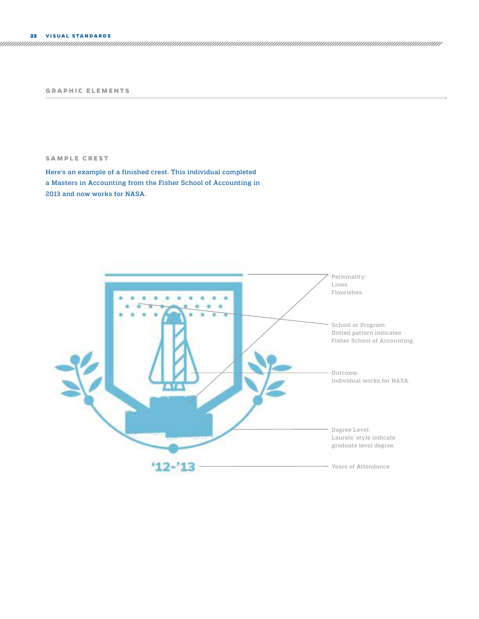#### **GRAPHIC ELEMENTS**

#### **SAMPLE CREST**

Here's an example of a finished crest. This individual completed a Masters in Accounting from the Fisher School of Accounting in 2013 and now works for NASA.

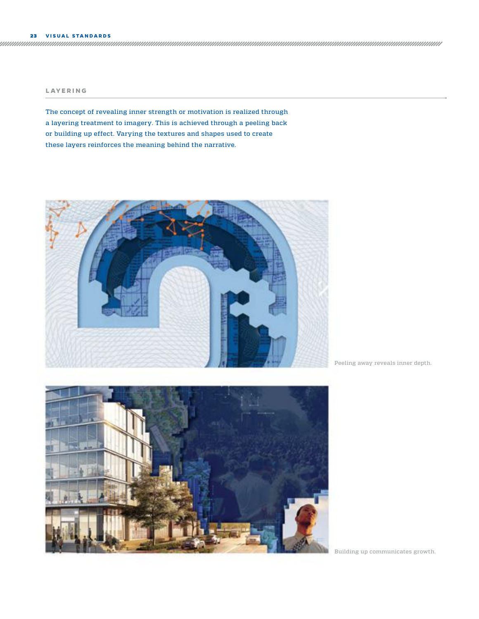#### **L AY E R I N G**

The concept of revealing inner strength or motivation is realized through a layering treatment to imagery. This is achieved through a peeling back or building up effect. Varying the textures and shapes used to create these layers reinforces the meaning behind the narrative.



Peeling away reveals inner depth.



Building up communicates growth.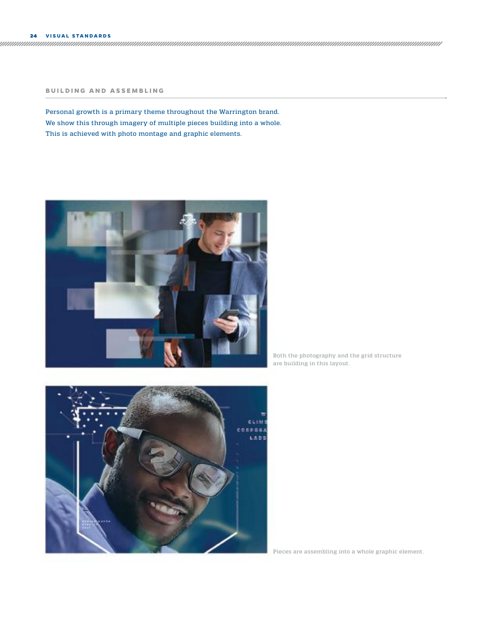#### **BUILDING AND ASSEMBLING**

Personal growth is a primary theme throughout the Warrington brand. We show this through imagery of multiple pieces building into a whole. This is achieved with photo montage and graphic elements.



Both the photography and the grid structure are building in this layout.



Pieces are assembling into a whole graphic element.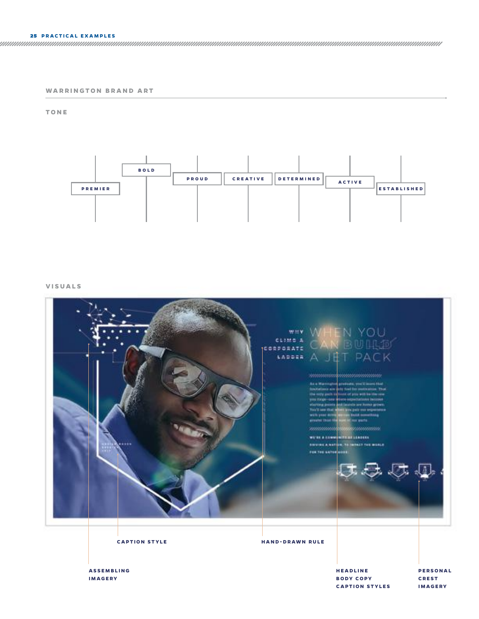#### **WARRINGTON BRAND ART**

**TONE**



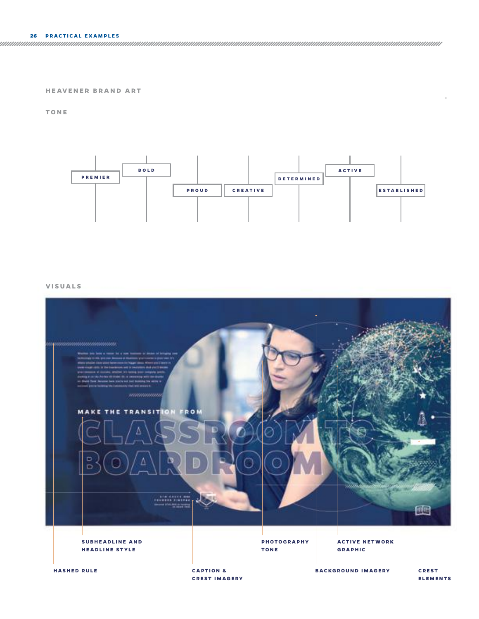#### **HEAVENER BRAND ART**

**TONE**



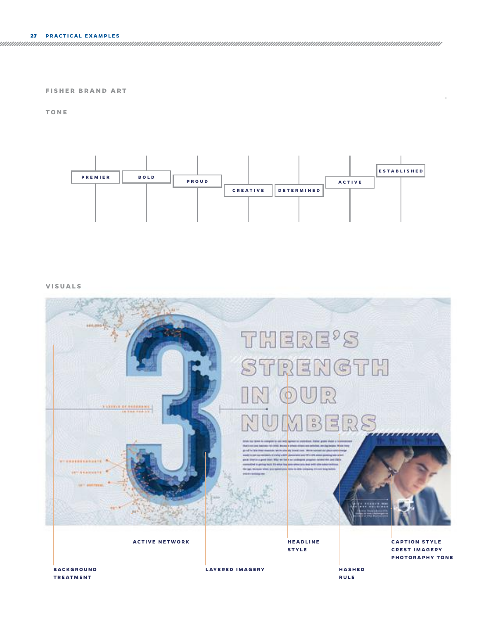#### **FISHER BRAND ART**

**TONE**



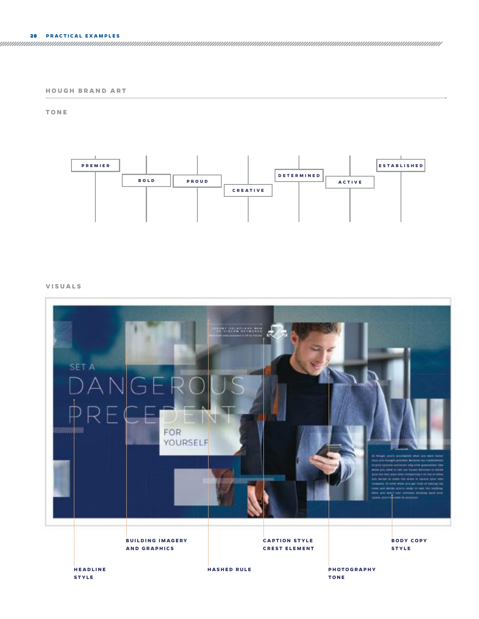#### **HOUGH BRAND ART**

**TONE**



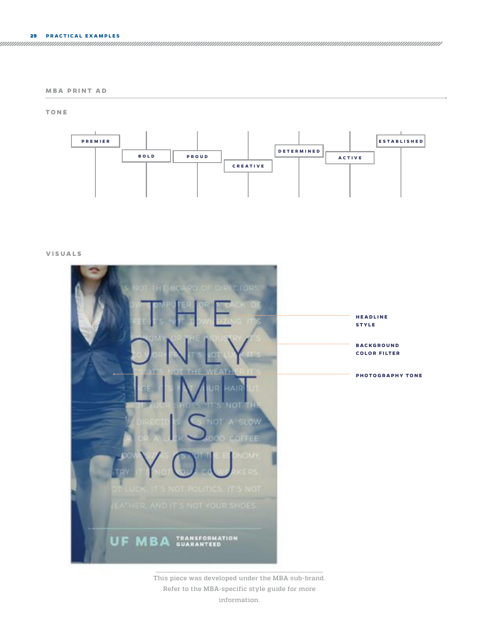#### **MBA PRINT AD**

**TONE**



#### **VISUALS**



This piece was developed under the MBA sub-brand. Refer to the MBA-specific style guide for more information.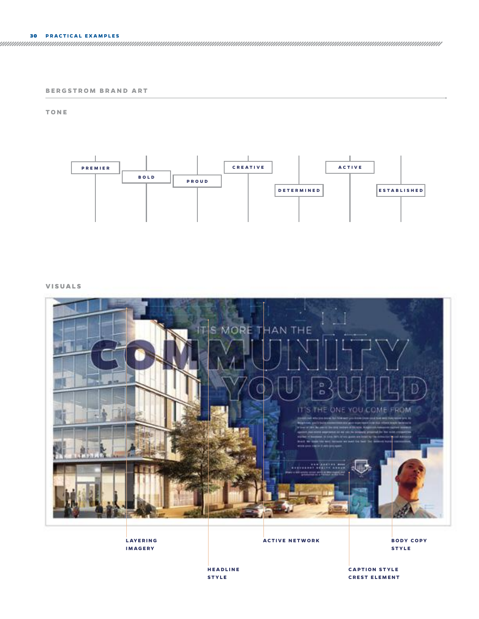#### **BERGSTROM BRAND ART**

**TONE**



**VISUALS**



**L AY E R I N G IMAGERY**

#### **ACTIVE NETWORK**

**BODY COPY STYLE**

**HEADLINE STYLE**

**CAPTION STYLE CREST ELEMENT**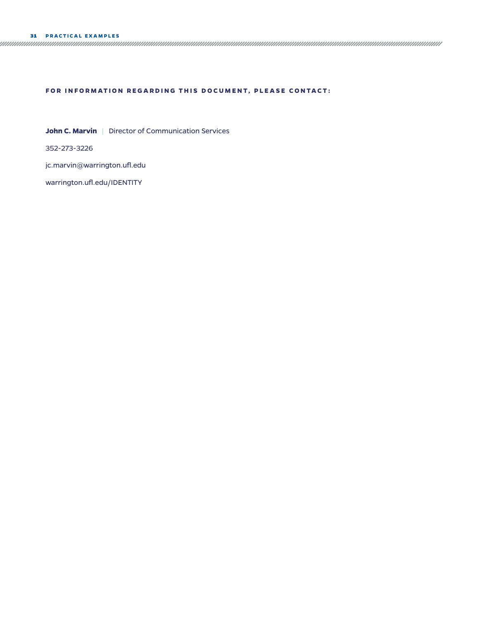#### **FOR INFORMATION REGARDING THIS DOCUMENT, PLEASE CONTACT:**

**John C. Marvin** |Director of Communication Services

352-273-3226

jc.marvin@warrington.ufl.edu

warrington.ufl.edu/IDENTITY